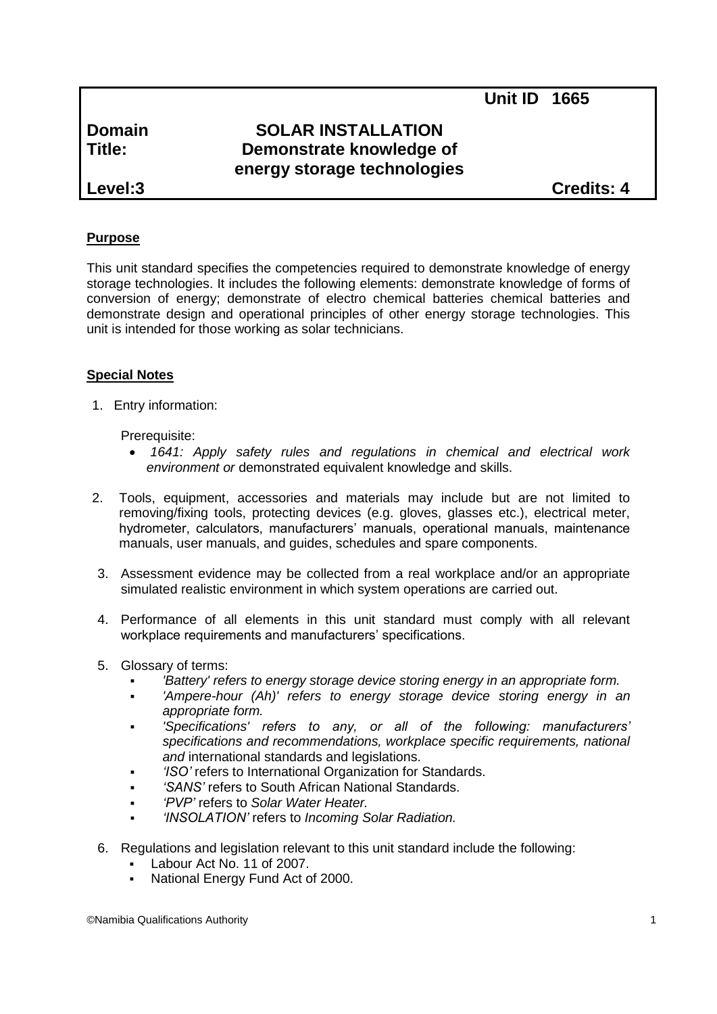**Unit ID 1665**

# **Domain SOLAR INSTALLATION Title: Demonstrate knowledge of energy storage technologies**

**Level:3 Credits: 4**

# **Purpose**

This unit standard specifies the competencies required to demonstrate knowledge of energy storage technologies. It includes the following elements: demonstrate knowledge of forms of conversion of energy; demonstrate of electro chemical batteries chemical batteries and demonstrate design and operational principles of other energy storage technologies. This unit is intended for those working as solar technicians.

# **Special Notes**

1. Entry information:

## Prerequisite:

- *1641: Apply safety rules and regulations in chemical and electrical work environment or* demonstrated equivalent knowledge and skills.
- 2. Tools, equipment, accessories and materials may include but are not limited to removing/fixing tools, protecting devices (e.g. gloves, glasses etc.), electrical meter, hydrometer, calculators, manufacturers' manuals, operational manuals, maintenance manuals, user manuals, and guides, schedules and spare components.
- 3. Assessment evidence may be collected from a real workplace and/or an appropriate simulated realistic environment in which system operations are carried out.
- 4. Performance of all elements in this unit standard must comply with all relevant workplace requirements and manufacturers' specifications.
- 5. Glossary of terms:
	- *'Battery' refers to energy storage device storing energy in an appropriate form.*
	- *'Ampere-hour (Ah)' refers to energy storage device storing energy in an appropriate form.*
	- *'Specifications' refers to any, or all of the following: manufacturers' specifications and recommendations, workplace specific requirements, national and* international standards and legislations.
	- *'ISO'* refers to International Organization for Standards.
	- *'SANS'* refers to South African National Standards.
	- *'PVP'* refers to *Solar Water Heater.*
	- *'INSOLATION'* refers to *Incoming Solar Radiation.*
- 6. Regulations and legislation relevant to this unit standard include the following:
	- Labour Act No. 11 of 2007.
	- National Energy Fund Act of 2000.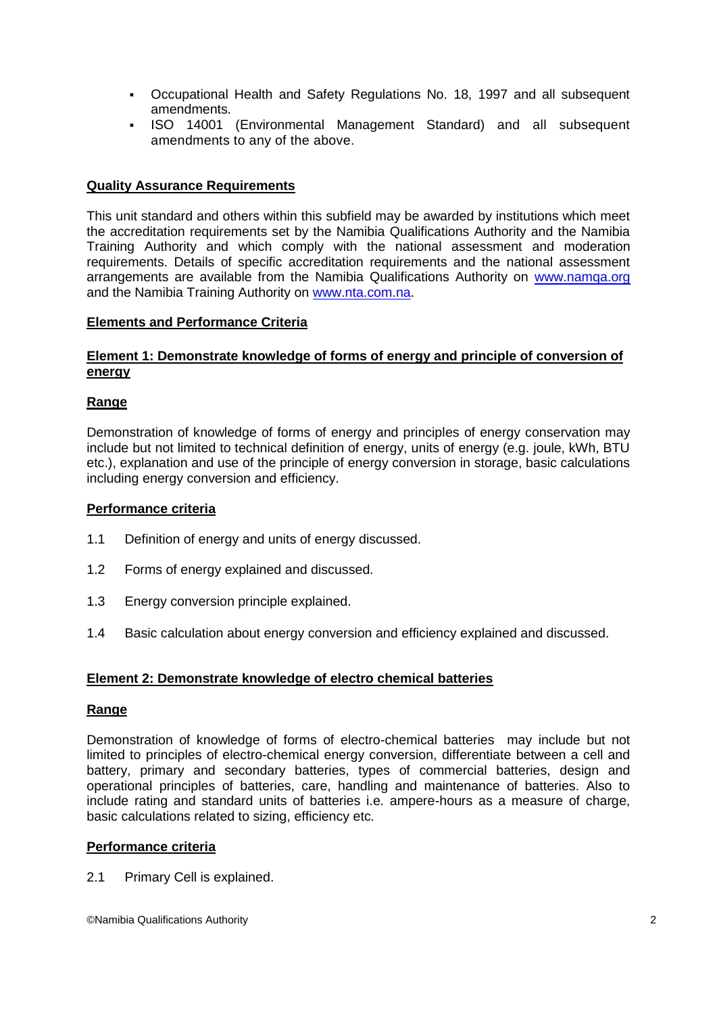- Occupational Health and Safety Regulations No. 18, 1997 and all subsequent amendments.
- ISO 14001 (Environmental Management Standard) and all subsequent amendments to any of the above.

## **Quality Assurance Requirements**

This unit standard and others within this subfield may be awarded by institutions which meet the accreditation requirements set by the Namibia Qualifications Authority and the Namibia Training Authority and which comply with the national assessment and moderation requirements. Details of specific accreditation requirements and the national assessment arrangements are available from the Namibia Qualifications Authority on [www.namqa.org](http://www.namqa.org/) and the Namibia Training Authority on [www.nta.com.na.](http://www.nta.com.na/)

#### **Elements and Performance Criteria**

## **Element 1: Demonstrate knowledge of forms of energy and principle of conversion of energy**

## **Range**

Demonstration of knowledge of forms of energy and principles of energy conservation may include but not limited to technical definition of energy, units of energy (e.g. joule, kWh, BTU etc.), explanation and use of the principle of energy conversion in storage, basic calculations including energy conversion and efficiency.

#### **Performance criteria**

- 1.1 Definition of energy and units of energy discussed.
- 1.2 Forms of energy explained and discussed.
- 1.3 Energy conversion principle explained.
- 1.4 Basic calculation about energy conversion and efficiency explained and discussed.

#### **Element 2: Demonstrate knowledge of electro chemical batteries**

#### **Range**

Demonstration of knowledge of forms of electro-chemical batteries may include but not limited to principles of electro-chemical energy conversion, differentiate between a cell and battery, primary and secondary batteries, types of commercial batteries, design and operational principles of batteries, care, handling and maintenance of batteries. Also to include rating and standard units of batteries i.e. ampere-hours as a measure of charge, basic calculations related to sizing, efficiency etc.

#### **Performance criteria**

2.1 Primary Cell is explained.